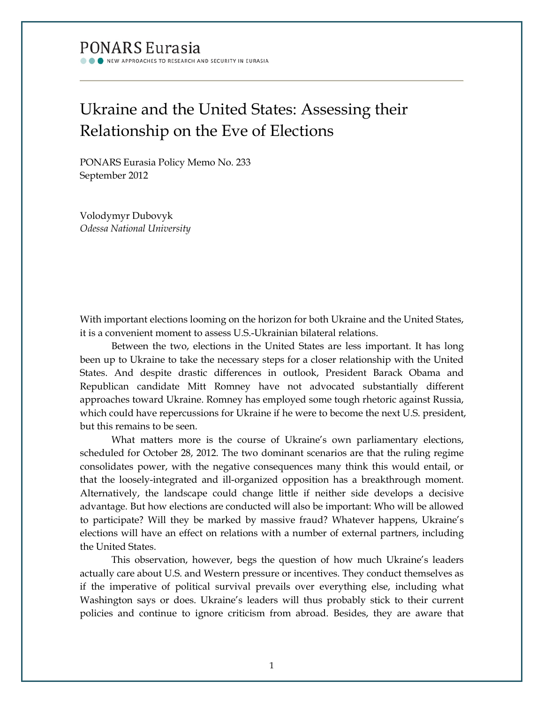## **PONARS Eurasia** W APPROACHES TO RESEARCH AND SECURITY IN EURASIA

Ukraine and the United States: Assessing their Relationship on the Eve of Elections

PONARS Eurasia Policy Memo No. 233 September 2012

Volodymyr Dubovyk *Odessa National University*

With important elections looming on the horizon for both Ukraine and the United States, it is a convenient moment to assess U.S.-Ukrainian bilateral relations.

Between the two, elections in the United States are less important. It has long been up to Ukraine to take the necessary steps for a closer relationship with the United States. And despite drastic differences in outlook, President Barack Obama and Republican candidate Mitt Romney have not advocated substantially different approaches toward Ukraine. Romney has employed some tough rhetoric against Russia, which could have repercussions for Ukraine if he were to become the next U.S. president, but this remains to be seen.

What matters more is the course of Ukraine's own parliamentary elections, scheduled for October 28, 2012. The two dominant scenarios are that the ruling regime consolidates power, with the negative consequences many think this would entail, or that the loosely-integrated and ill-organized opposition has a breakthrough moment. Alternatively, the landscape could change little if neither side develops a decisive advantage. But how elections are conducted will also be important: Who will be allowed to participate? Will they be marked by massive fraud? Whatever happens, Ukraine's elections will have an effect on relations with a number of external partners, including the United States.

This observation, however, begs the question of how much Ukraine's leaders actually care about U.S. and Western pressure or incentives. They conduct themselves as if the imperative of political survival prevails over everything else, including what Washington says or does. Ukraine's leaders will thus probably stick to their current policies and continue to ignore criticism from abroad. Besides, they are aware that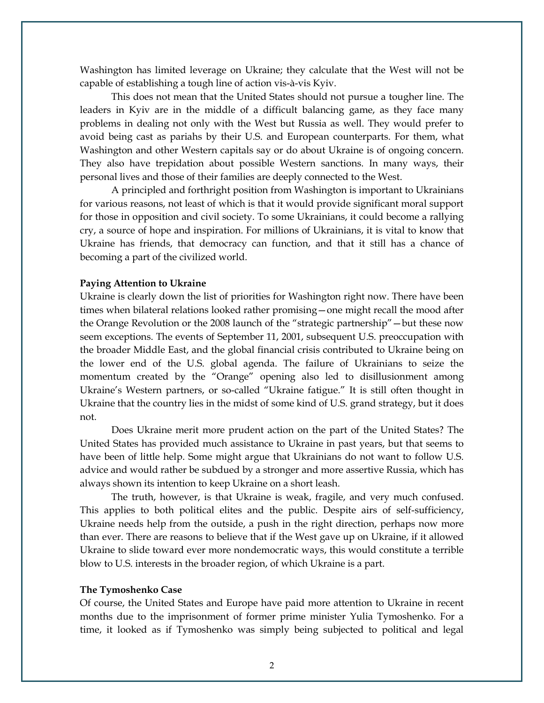Washington has limited leverage on Ukraine; they calculate that the West will not be capable of establishing a tough line of action vis-à-vis Kyiv.

This does not mean that the United States should not pursue a tougher line. The leaders in Kyiv are in the middle of a difficult balancing game, as they face many problems in dealing not only with the West but Russia as well. They would prefer to avoid being cast as pariahs by their U.S. and European counterparts. For them, what Washington and other Western capitals say or do about Ukraine is of ongoing concern. They also have trepidation about possible Western sanctions. In many ways, their personal lives and those of their families are deeply connected to the West.

A principled and forthright position from Washington is important to Ukrainians for various reasons, not least of which is that it would provide significant moral support for those in opposition and civil society. To some Ukrainians, it could become a rallying cry, a source of hope and inspiration. For millions of Ukrainians, it is vital to know that Ukraine has friends, that democracy can function, and that it still has a chance of becoming a part of the civilized world.

## **Paying Attention to Ukraine**

Ukraine is clearly down the list of priorities for Washington right now. There have been times when bilateral relations looked rather promising—one might recall the mood after the Orange Revolution or the 2008 launch of the "strategic partnership"—but these now seem exceptions. The events of September 11, 2001, subsequent U.S. preoccupation with the broader Middle East, and the global financial crisis contributed to Ukraine being on the lower end of the U.S. global agenda. The failure of Ukrainians to seize the momentum created by the "Orange" opening also led to disillusionment among Ukraine's Western partners, or so-called "Ukraine fatigue." It is still often thought in Ukraine that the country lies in the midst of some kind of U.S. grand strategy, but it does not.

Does Ukraine merit more prudent action on the part of the United States? The United States has provided much assistance to Ukraine in past years, but that seems to have been of little help. Some might argue that Ukrainians do not want to follow U.S. advice and would rather be subdued by a stronger and more assertive Russia, which has always shown its intention to keep Ukraine on a short leash.

The truth, however, is that Ukraine is weak, fragile, and very much confused. This applies to both political elites and the public. Despite airs of self-sufficiency, Ukraine needs help from the outside, a push in the right direction, perhaps now more than ever. There are reasons to believe that if the West gave up on Ukraine, if it allowed Ukraine to slide toward ever more nondemocratic ways, this would constitute a terrible blow to U.S. interests in the broader region, of which Ukraine is a part.

## **The Tymoshenko Case**

Of course, the United States and Europe have paid more attention to Ukraine in recent months due to the imprisonment of former prime minister Yulia Tymoshenko. For a time, it looked as if Tymoshenko was simply being subjected to political and legal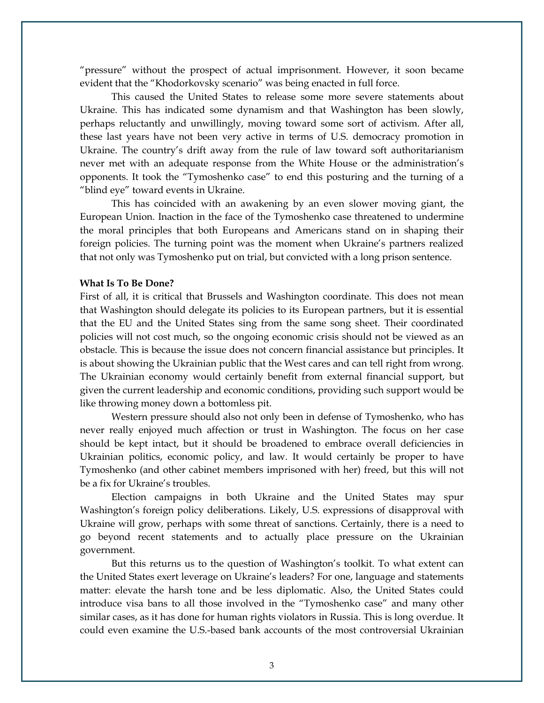"pressure" without the prospect of actual imprisonment. However, it soon became evident that the "Khodorkovsky scenario" was being enacted in full force.

This caused the United States to release some more severe statements about Ukraine. This has indicated some dynamism and that Washington has been slowly, perhaps reluctantly and unwillingly, moving toward some sort of activism. After all, these last years have not been very active in terms of U.S. democracy promotion in Ukraine. The country's drift away from the rule of law toward soft authoritarianism never met with an adequate response from the White House or the administration's opponents. It took the "Tymoshenko case" to end this posturing and the turning of a "blind eye" toward events in Ukraine.

This has coincided with an awakening by an even slower moving giant, the European Union. Inaction in the face of the Tymoshenko case threatened to undermine the moral principles that both Europeans and Americans stand on in shaping their foreign policies. The turning point was the moment when Ukraine's partners realized that not only was Tymoshenko put on trial, but convicted with a long prison sentence.

## **What Is To Be Done?**

First of all, it is critical that Brussels and Washington coordinate. This does not mean that Washington should delegate its policies to its European partners, but it is essential that the EU and the United States sing from the same song sheet. Their coordinated policies will not cost much, so the ongoing economic crisis should not be viewed as an obstacle. This is because the issue does not concern financial assistance but principles. It is about showing the Ukrainian public that the West cares and can tell right from wrong. The Ukrainian economy would certainly benefit from external financial support, but given the current leadership and economic conditions, providing such support would be like throwing money down a bottomless pit.

Western pressure should also not only been in defense of Tymoshenko, who has never really enjoyed much affection or trust in Washington. The focus on her case should be kept intact, but it should be broadened to embrace overall deficiencies in Ukrainian politics, economic policy, and law. It would certainly be proper to have Tymoshenko (and other cabinet members imprisoned with her) freed, but this will not be a fix for Ukraine's troubles.

Election campaigns in both Ukraine and the United States may spur Washington's foreign policy deliberations. Likely, U.S. expressions of disapproval with Ukraine will grow, perhaps with some threat of sanctions. Certainly, there is a need to go beyond recent statements and to actually place pressure on the Ukrainian government.

But this returns us to the question of Washington's toolkit. To what extent can the United States exert leverage on Ukraine's leaders? For one, language and statements matter: elevate the harsh tone and be less diplomatic. Also, the United States could introduce visa bans to all those involved in the "Tymoshenko case" and many other similar cases, as it has done for human rights violators in Russia. This is long overdue. It could even examine the U.S.-based bank accounts of the most controversial Ukrainian